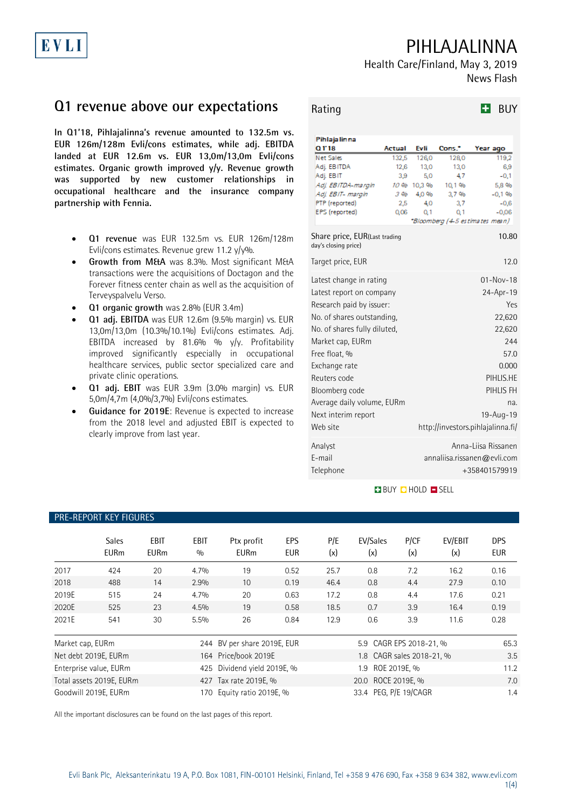# PIHLAJALINNA

Health Care/Finland, May 3, 2019 News Flash

## **Q1 revenue above our expectations**

**In Q1'18, Pihlajalinna's revenue amounted to 132.5m vs. EUR 126m/128m Evli/cons estimates, while adj. EBITDA landed at EUR 12.6m vs. EUR 13,0m/13,0m Evli/cons estimates. Organic growth improved y/y. Revenue growth was supported by new customer relationships in occupational healthcare and the insurance company partnership with Fennia.**

- **Q1 revenue** was EUR 132.5m vs. EUR 126m/128m Evli/cons estimates. Revenue grew 11.2 y/y%.
- Growth from M&A was 8.3%. Most significant M&A transactions were the acquisitions of Doctagon and the Forever fitness center chain as well as the acquisition of Terveyspalvelu Verso.
- **Q1 organic growth** was 2.8% (EUR 3.4m)
- **Q1 adj. EBITDA** was EUR 12.6m (9.5% margin) vs. EUR 13,0m/13,0m (10.3%/10.1%) Evli/cons estimates. Adj. EBITDA increased by 81.6% % y/y. Profitability improved significantly especially in occupational healthcare services, public sector specialized care and private clinic operations.
- **Q1 adj. EBIT** was EUR 3.9m (3.0% margin) vs. EUR 5,0m/4,7m (4,0%/3,7%) Evli/cons estimates.
- **Guidance for 2019E**: Revenue is expected to increase from the 2018 level and adjusted EBIT is expected to clearly improve from last year.

| Rating |  | $H$ BUY |
|--------|--|---------|
|--------|--|---------|

| Pihlajalin na                                         |             |            |             |                                        |
|-------------------------------------------------------|-------------|------------|-------------|----------------------------------------|
| Q118                                                  | Actual      | Evli       | Cons.*      | Year ago                               |
| Net Sales                                             | 132,5       | 126,0      | 128,0       | 119,2                                  |
| Adj. EBITDA                                           | 12,6        | 13,0       | 13,0        | 6.9                                    |
| Adj. EBIT                                             | 3,9         | 5,0        | 4,7         | $-0.1$                                 |
| Adj. EBITDA-margin                                    | 10 %<br>3 % | 10.3 %     | 10.1 %      | 5.8 %                                  |
| Adj. EBIT- margin<br>PTP (reported)                   | 2,5         | 4,0%<br>40 | 3,7%<br>3,7 | $-0.1%$<br>$-0,6$                      |
| EPS (reported)                                        | 0,06        | 0.1        | 0.1         | $-0.06$                                |
|                                                       |             |            |             | <i>"Bloomberg (4-5 estimates mean)</i> |
| Share price, EUR(Last trading<br>day's closing price) |             |            |             | 10.80                                  |
| Target price, EUR                                     |             |            |             | 12.0                                   |
| Latest change in rating                               |             |            |             | $01 - Nov - 18$                        |
| Latest report on company                              |             |            |             | 24-Apr-19                              |
| Research paid by issuer:                              |             |            |             | <b>Yes</b>                             |
|                                                       |             |            |             | 22,620                                 |
| No. of shares outstanding.                            |             |            |             |                                        |
| No. of shares fully diluted.                          |             |            |             | 22,620                                 |
| Market cap, EURm                                      |             |            |             | 244                                    |
| Free float, %                                         |             |            |             | 57.0                                   |
| Exchange rate                                         |             |            |             | 0.000                                  |
| Reuters code                                          |             |            |             | PIHLIS.HE                              |
| Bloomberg code                                        |             |            |             | PIHLIS FH                              |
|                                                       |             |            |             | na.                                    |
| Average daily volume, EURm                            |             |            |             |                                        |
| Next interim report                                   |             | 19-Aug-19  |             |                                        |
| Web site                                              |             |            |             | http://investors.pihlajalinna.fi/      |
| Analyst                                               |             |            |             | Anna-Liisa Rissanen                    |
| F-mail                                                |             |            |             | annaliisa.rissanen@evli.com            |
| Telephone                                             |             |            |             | +358401579919                          |
|                                                       |             |            |             |                                        |

#### **BUY DHOLD DISELL**

### Sales EBIT EBIT Ptx profit EPS P/E EV/Sales P/CF EV/EBIT DPS EURm EURm % EURm EUR (x) (x) (x) (x) EUR 2017 424 20 4.7% 19 0.52 25.7 0.8 7.2 16.2 0.16 2018 488 14 2.9% 10 0.19 46.4 0.8 4.4 27.9 0.10 2019E 515 24 4.7% 20 0.63 17.2 0.8 4.4 17.6 0.21 2020E 525 23 4.5% 19 0.58 18.5 0.7 3.9 16.4 0.19 2021E 541 30 5.5% 26 0.84 12.9 0.6 3.9 11.6 0.28 Market cap, EURm 2014 244 BV per share 2019E, EUR 5.9 CAGR EPS 2018-21, % 65.3 Net debt 2019E, EURm 164 Price/book 2019E 1.8 CAGR sales 2018-21, % 3.5 Enterprise value, EURm 425 Dividend yield 2019E, % 1.9 ROE 2019E, % 11.2 Total assets 2019E, EURm 427 Tax rate 2019E, % 20.0 ROCE 2019E, % 20.0 ROCE 2019E, 20.0 ROCE 2019E, 4 7.0 Goodwill 2019E, EURm 1.4 170 Equity ratio 2019E, % 33.4 PEG, P/E 19/CAGR 1.4

All the important disclosures can be found on the last pages of this report.

Evli Bank Plc, Aleksanterinkatu 19 A, P.O. Box 1081, FIN-00101 Helsinki, Finland, Tel +358 9 476 690, Fax +358 9 634 382, [www.evli.com](http://www.evli.com/) 1(4)

### PRE-REPORT KEY FIGURES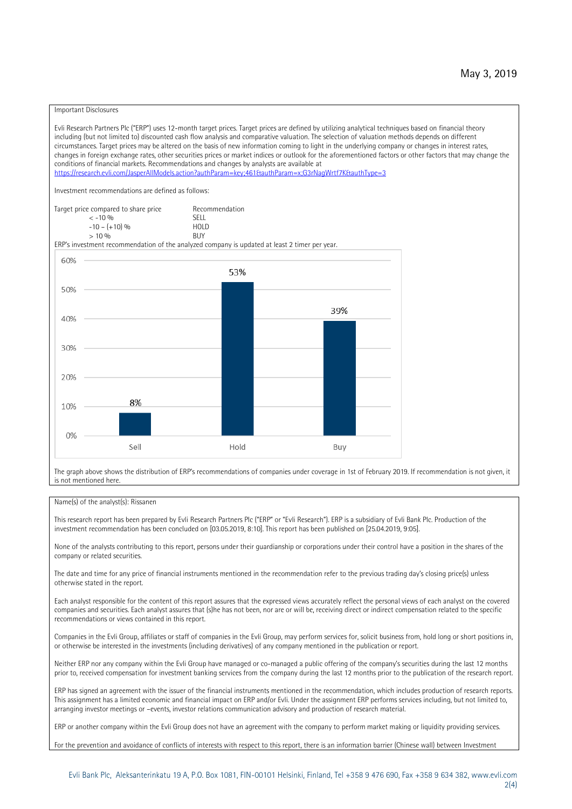#### Important Disclosures

Evli Research Partners Plc ("ERP") uses 12-month target prices. Target prices are defined by utilizing analytical techniques based on financial theory including (but not limited to) discounted cash flow analysis and comparative valuation. The selection of valuation methods depends on different circumstances. Target prices may be altered on the basis of new information coming to light in the underlying company or changes in interest rates, changes in foreign exchange rates, other securities prices or market indices or outlook for the aforementioned factors or other factors that may change the conditions of financial markets. Recommendations and changes by analysts are available at https://research.evli.com/JasperAllModels.action?authParam=key;461&tauthParam=x;G3rNagWrtf7K&tauthType=3 Investment recommendations are defined as follows: Target price compared to share price Recommendation<br>  $\leq$  -10 % < -10 % SELL  $-10 - (+10) \%$  HOL<br>  $> 10 \%$  RIJY  $> 10 \frac{0}{0}$ ERP's investment recommendation of the analyzed company is updated at least 2 timer per year. 60% 53% 50% 39% 40% 30% 20% 8% 10% 0% Sell Hold Buy

The graph above shows the distribution of ERP's recommendations of companies under coverage in 1st of February 2019. If recommendation is not given, it is not mentioned here.

#### Name(s) of the analyst(s): Rissanen

This research report has been prepared by Evli Research Partners Plc ("ERP" or "Evli Research"). ERP is a subsidiary of Evli Bank Plc. Production of the investment recommendation has been concluded on [03.05.2019, 8:10]. This report has been published on [25.04.2019, 9:05].

None of the analysts contributing to this report, persons under their guardianship or corporations under their control have a position in the shares of the company or related securities.

The date and time for any price of financial instruments mentioned in the recommendation refer to the previous trading day's closing price(s) unless otherwise stated in the report.

Each analyst responsible for the content of this report assures that the expressed views accurately reflect the personal views of each analyst on the covered companies and securities. Each analyst assures that (s)he has not been, nor are or will be, receiving direct or indirect compensation related to the specific recommendations or views contained in this report.

Companies in the Evli Group, affiliates or staff of companies in the Evli Group, may perform services for, solicit business from, hold long or short positions in, or otherwise be interested in the investments (including derivatives) of any company mentioned in the publication or report.

Neither ERP nor any company within the Evli Group have managed or co-managed a public offering of the company's securities during the last 12 months prior to, received compensation for investment banking services from the company during the last 12 months prior to the publication of the research report.

ERP has signed an agreement with the issuer of the financial instruments mentioned in the recommendation, which includes production of research reports. This assignment has a limited economic and financial impact on ERP and/or Evli. Under the assignment ERP performs services including, but not limited to, arranging investor meetings or –events, investor relations communication advisory and production of research material.

ERP or another company within the Evli Group does not have an agreement with the company to perform market making or liquidity providing services.

For the prevention and avoidance of conflicts of interests with respect to this report, there is an information barrier (Chinese wall) between Investment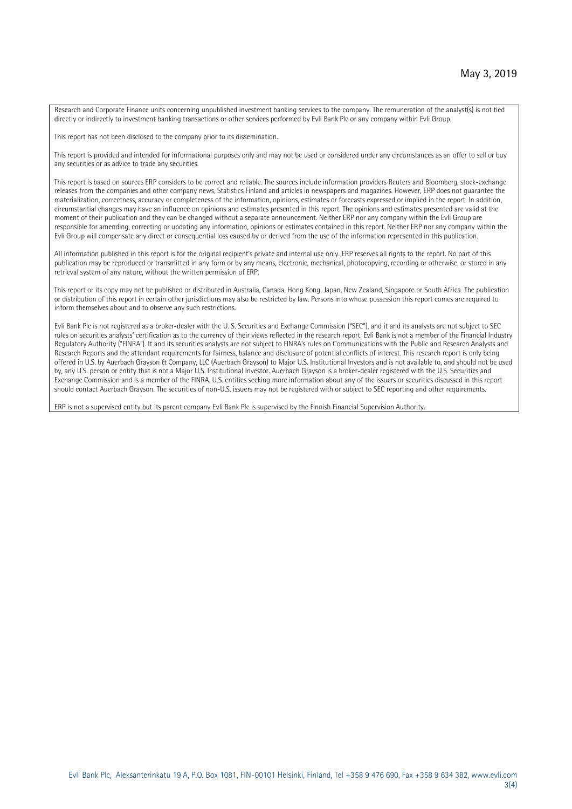Research and Corporate Finance units concerning unpublished investment banking services to the company. The remuneration of the analyst(s) is not tied directly or indirectly to investment banking transactions or other services performed by Evli Bank Plc or any company within Evli Group.

This report has not been disclosed to the company prior to its dissemination.

This report is provided and intended for informational purposes only and may not be used or considered under any circumstances as an offer to sell or buy any securities or as advice to trade any securities.

This report is based on sources ERP considers to be correct and reliable. The sources include information providers Reuters and Bloomberg, stock-exchange releases from the companies and other company news, Statistics Finland and articles in newspapers and magazines. However, ERP does not guarantee the materialization, correctness, accuracy or completeness of the information, opinions, estimates or forecasts expressed or implied in the report. In addition, circumstantial changes may have an influence on opinions and estimates presented in this report. The opinions and estimates presented are valid at the moment of their publication and they can be changed without a separate announcement. Neither ERP nor any company within the Evli Group are responsible for amending, correcting or updating any information, opinions or estimates contained in this report. Neither ERP nor any company within the Evli Group will compensate any direct or consequential loss caused by or derived from the use of the information represented in this publication.

All information published in this report is for the original recipient's private and internal use only. ERP reserves all rights to the report. No part of this publication may be reproduced or transmitted in any form or by any means, electronic, mechanical, photocopying, recording or otherwise, or stored in any retrieval system of any nature, without the written permission of ERP.

This report or its copy may not be published or distributed in Australia, Canada, Hong Kong, Japan, New Zealand, Singapore or South Africa. The publication or distribution of this report in certain other jurisdictions may also be restricted by law. Persons into whose possession this report comes are required to inform themselves about and to observe any such restrictions.

Evli Bank Plc is not registered as a broker-dealer with the U. S. Securities and Exchange Commission ("SEC"), and it and its analysts are not subject to SEC rules on securities analysts' certification as to the currency of their views reflected in the research report. Evli Bank is not a member of the Financial Industry Regulatory Authority ("FINRA"). It and its securities analysts are not subject to FINRA's rules on Communications with the Public and Research Analysts and Research Reports and the attendant requirements for fairness, balance and disclosure of potential conflicts of interest. This research report is only being offered in U.S. by Auerbach Grayson & Company, LLC (Auerbach Grayson) to Major U.S. Institutional Investors and is not available to, and should not be used by, any U.S. person or entity that is not a Major U.S. Institutional Investor. Auerbach Grayson is a broker-dealer registered with the U.S. Securities and Exchange Commission and is a member of the FINRA. U.S. entities seeking more information about any of the issuers or securities discussed in this report should contact Auerbach Grayson. The securities of non-U.S. issuers may not be registered with or subject to SEC reporting and other requirements.

ERP is not a supervised entity but its parent company Evli Bank Plc is supervised by the Finnish Financial Supervision Authority.